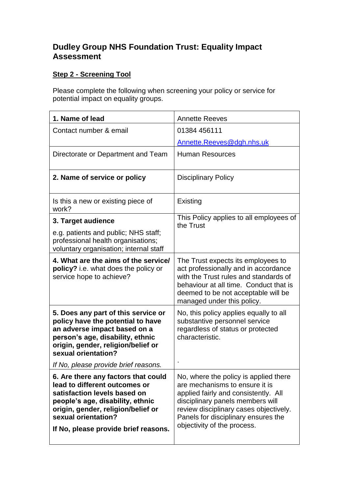## **Dudley Group NHS Foundation Trust: Equality Impact Assessment**

## **Step 2 - Screening Tool**

Please complete the following when screening your policy or service for potential impact on equality groups.

| 1. Name of lead                                                                                                                                                                                                                               | <b>Annette Reeves</b>                                                                                                                                                                                                                                               |
|-----------------------------------------------------------------------------------------------------------------------------------------------------------------------------------------------------------------------------------------------|---------------------------------------------------------------------------------------------------------------------------------------------------------------------------------------------------------------------------------------------------------------------|
| Contact number & email                                                                                                                                                                                                                        | 01384 456111                                                                                                                                                                                                                                                        |
|                                                                                                                                                                                                                                               | Annette.Reeves@dgh.nhs.uk                                                                                                                                                                                                                                           |
| Directorate or Department and Team                                                                                                                                                                                                            | <b>Human Resources</b>                                                                                                                                                                                                                                              |
| 2. Name of service or policy                                                                                                                                                                                                                  | <b>Disciplinary Policy</b>                                                                                                                                                                                                                                          |
| Is this a new or existing piece of<br>work?                                                                                                                                                                                                   | Existing                                                                                                                                                                                                                                                            |
| 3. Target audience                                                                                                                                                                                                                            | This Policy applies to all employees of<br>the Trust                                                                                                                                                                                                                |
| e.g. patients and public; NHS staff;<br>professional health organisations;<br>voluntary organisation; internal staff                                                                                                                          |                                                                                                                                                                                                                                                                     |
| 4. What are the aims of the service/<br>policy? i.e. what does the policy or<br>service hope to achieve?                                                                                                                                      | The Trust expects its employees to<br>act professionally and in accordance<br>with the Trust rules and standards of<br>behaviour at all time. Conduct that is<br>deemed to be not acceptable will be<br>managed under this policy.                                  |
| 5. Does any part of this service or<br>policy have the potential to have<br>an adverse impact based on a<br>person's age, disability, ethnic<br>origin, gender, religion/belief or<br>sexual orientation?                                     | No, this policy applies equally to all<br>substantive personnel service<br>regardless of status or protected<br>characteristic.                                                                                                                                     |
| If No, please provide brief reasons.                                                                                                                                                                                                          |                                                                                                                                                                                                                                                                     |
| 6. Are there any factors that could<br>lead to different outcomes or<br>satisfaction levels based on<br>people's age, disability, ethnic<br>origin, gender, religion/belief or<br>sexual orientation?<br>If No, please provide brief reasons. | No, where the policy is applied there<br>are mechanisms to ensure it is<br>applied fairly and consistently. All<br>disciplinary panels members will<br>review disciplinary cases objectively.<br>Panels for disciplinary ensures the<br>objectivity of the process. |